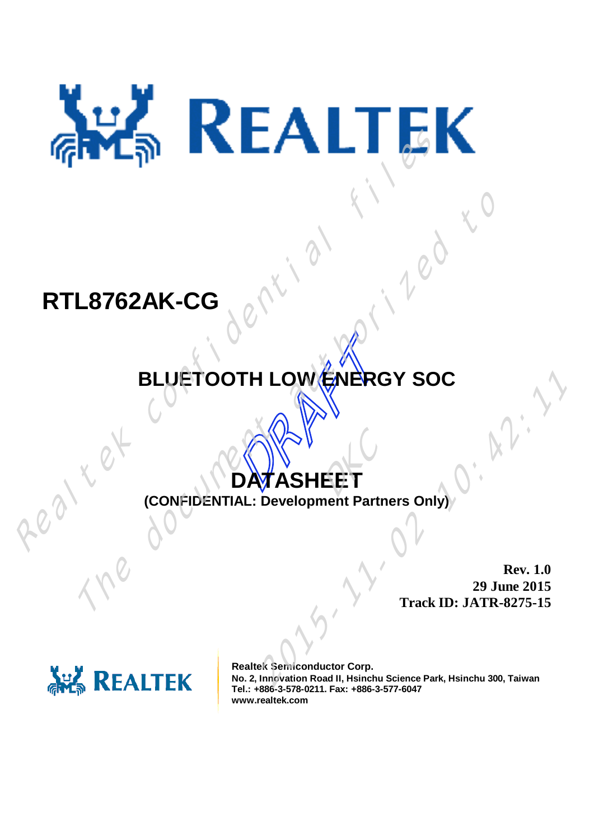# RTL8762AK-CG<br>
BLUETOOTH LOW ENERGY SO

# **RTL8762AK-CG**

# TH LOWENER **BLUETOOTH LOW ENERGY SOC**  $L8762AK-CG$ <br>
BLUETOOTH LOWENERGY SOC<br>  $SO(1)$ <br>  $SO(2)$ <br>  $SO(3)$ <br>  $T_{\text{track ID}: JATR}$

# **DATASHEET** EET

**(CONFIDENTIAL: Development Partners Only)**

**Rev. 1.0 29 June 2015 Track ID: JATR-8275-15**



**Realtek Semiconductor Corp. No. 2, Innovation Road II, Hsinchu Science Park, Hsinchu 300, Taiwan Tel.: +886-3-578-0211. Fax: +886-3-577-6047 www.realtek.com 2015<br>
2018 SHEET**<br>
2019 June 2015<br>
2015<br>
2015<br>
2015<br>
2015<br>
2015<br>
2015<br>
2015<br>
2015<br>
2015<br>
2015<br>
2015<br>
2015<br>
2015<br>
2015<br>
2015<br>
2015<br>
2015<br>
2015<br>
2015<br>
2015<br>
2015<br>
2015<br>
2015<br>
2015<br>
2015<br>
2016<br>
2015<br>
2016<br>
2015<br>
2016<br>
2016<br>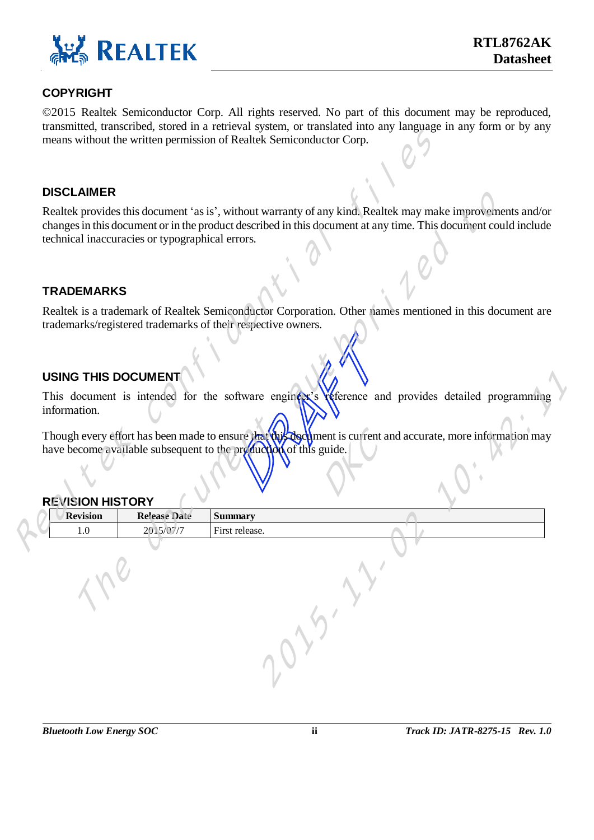

#### **COPYRIGHT**

© 2015 Realtek Semiconductor Corp. All rights reserved. No part of this document may be reproduced, transmitted, transcribed, stored in a retrieval system, or translated into any language in any form or by any means without the written permission of Realtek Semiconductor Corp.

#### **DISCLAIMER**

#### **TRADEMARKS**

#### **USING THIS DOCUMENT**

#### **REVISION HISTORY**

|                            |                                                 | means without the written permission of Realtek Semiconductor Corp. | $\alpha$ , transcribed, stored in a retrieval system, or transmitted into any minguage in any rorm or $\sigma$                                                                                                               |
|----------------------------|-------------------------------------------------|---------------------------------------------------------------------|------------------------------------------------------------------------------------------------------------------------------------------------------------------------------------------------------------------------------|
|                            |                                                 |                                                                     |                                                                                                                                                                                                                              |
| <b>DISCLAIMER</b>          |                                                 |                                                                     |                                                                                                                                                                                                                              |
|                            | technical inaccuracies or typographical errors. |                                                                     | Realtek provides this document 'as is', without warranty of any kind. Realtek may make improvements and/or<br>changes in this document or in the product described in this document at any time. This document could include |
| <b>TRADEMARKS</b>          |                                                 |                                                                     |                                                                                                                                                                                                                              |
|                            |                                                 | trademarks/registered trademarks of their respective owners.        | Realtek is a trademark of Realtek Semiconductor Corporation. Other names mentioned in this document are                                                                                                                      |
|                            |                                                 |                                                                     |                                                                                                                                                                                                                              |
| <b>USING THIS DOCUMENT</b> |                                                 |                                                                     |                                                                                                                                                                                                                              |
| information.               |                                                 | have become available subsequent to the production of this guide.   | This document is intended for the software engineer's reference and provides detailed programming<br>Though every effort has been made to ensure that the document is current and accurate, more information may             |
| <b>REVISION HISTORY</b>    |                                                 |                                                                     |                                                                                                                                                                                                                              |
| <b>Revision</b>            | <b>Release Date</b>                             | <b>Summary</b>                                                      |                                                                                                                                                                                                                              |
| 1.0                        | 2015/07/7                                       | First release.                                                      | 2017                                                                                                                                                                                                                         |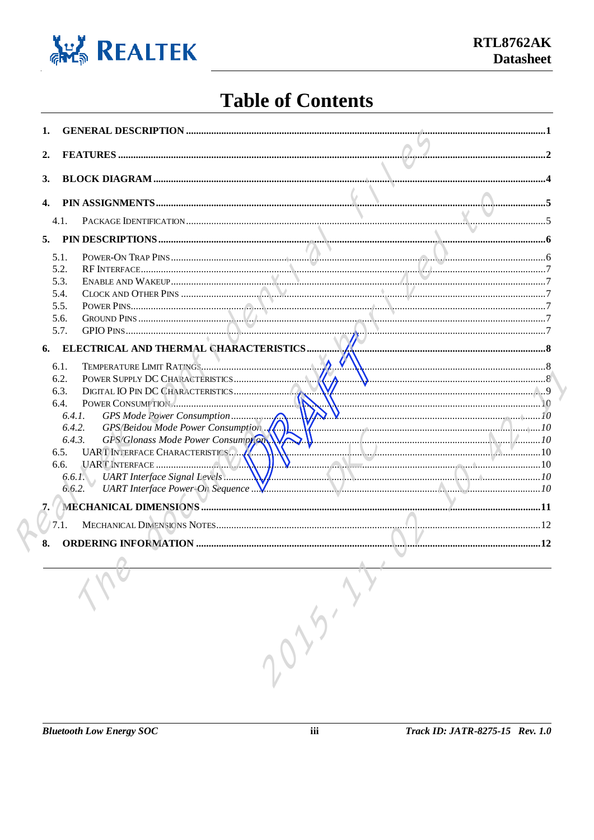

## **Table of Contents**

| 1. |                  |                                    |                                                                                                                                                                                                                                  |  |
|----|------------------|------------------------------------|----------------------------------------------------------------------------------------------------------------------------------------------------------------------------------------------------------------------------------|--|
|    |                  |                                    |                                                                                                                                                                                                                                  |  |
| 2. |                  |                                    |                                                                                                                                                                                                                                  |  |
| 3. |                  |                                    |                                                                                                                                                                                                                                  |  |
|    |                  |                                    |                                                                                                                                                                                                                                  |  |
| 4. |                  |                                    |                                                                                                                                                                                                                                  |  |
|    | 4.1.             |                                    |                                                                                                                                                                                                                                  |  |
|    |                  |                                    |                                                                                                                                                                                                                                  |  |
| 5. |                  |                                    |                                                                                                                                                                                                                                  |  |
|    | 5.1.             |                                    |                                                                                                                                                                                                                                  |  |
|    | 5.2.             |                                    |                                                                                                                                                                                                                                  |  |
|    | 5.3.             |                                    |                                                                                                                                                                                                                                  |  |
|    | 5.4.             |                                    |                                                                                                                                                                                                                                  |  |
|    | 5.5.<br>5.6.     |                                    |                                                                                                                                                                                                                                  |  |
|    | 5.7.             |                                    |                                                                                                                                                                                                                                  |  |
|    |                  |                                    |                                                                                                                                                                                                                                  |  |
| 6. |                  |                                    |                                                                                                                                                                                                                                  |  |
|    | 6.1.             |                                    |                                                                                                                                                                                                                                  |  |
|    | 6.2.             |                                    |                                                                                                                                                                                                                                  |  |
|    | 6.3.             |                                    |                                                                                                                                                                                                                                  |  |
|    | 6.4.             |                                    | 10                                                                                                                                                                                                                               |  |
|    | 6.4.1.           |                                    | 10                                                                                                                                                                                                                               |  |
|    | 6.4.2.           | GPS/Beidou Mode Power Consumption  | $\sqrt{2}$ . The contract of the contract of the contract of the contract of the contract of the contract of the contract of the contract of the contract of the contract of the contract of the contract of the contract of the |  |
|    | 6.4.3.           | GPS/Glonass Mode Power Consumption |                                                                                                                                                                                                                                  |  |
|    | 6.5.             | UART INTERFACE CHARACTERISTICS     |                                                                                                                                                                                                                                  |  |
|    | 6.6.             |                                    |                                                                                                                                                                                                                                  |  |
|    | 6.6.1.<br>6.6.2. |                                    |                                                                                                                                                                                                                                  |  |
|    |                  |                                    |                                                                                                                                                                                                                                  |  |
| 7. |                  |                                    |                                                                                                                                                                                                                                  |  |
|    | 7.1.             |                                    |                                                                                                                                                                                                                                  |  |
| 8. |                  |                                    |                                                                                                                                                                                                                                  |  |
|    |                  |                                    |                                                                                                                                                                                                                                  |  |
|    |                  |                                    |                                                                                                                                                                                                                                  |  |
|    |                  |                                    |                                                                                                                                                                                                                                  |  |
|    |                  |                                    |                                                                                                                                                                                                                                  |  |
|    |                  |                                    |                                                                                                                                                                                                                                  |  |
|    |                  |                                    |                                                                                                                                                                                                                                  |  |
|    |                  |                                    |                                                                                                                                                                                                                                  |  |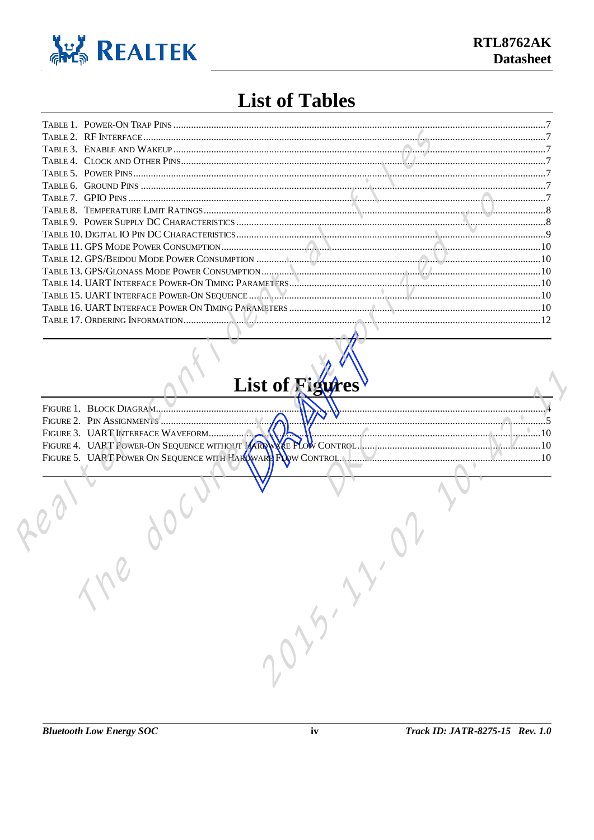

#### **List of Tables**

| TABLE 7. ST IS THIS WILLIAM RATINGS WILLIAM ST THE RELATION CONTROL TO BE A TEMPERATURE LIMIT RATINGS WILLIAM ST THE RELATION CONTROL TO A STATE AND THE RELATIONS OF THE RELATIONS OF THE RELATIONS OF THE RELATIONS OF THE R |  |
|--------------------------------------------------------------------------------------------------------------------------------------------------------------------------------------------------------------------------------|--|
|                                                                                                                                                                                                                                |  |
|                                                                                                                                                                                                                                |  |
|                                                                                                                                                                                                                                |  |
|                                                                                                                                                                                                                                |  |
|                                                                                                                                                                                                                                |  |
|                                                                                                                                                                                                                                |  |
|                                                                                                                                                                                                                                |  |
|                                                                                                                                                                                                                                |  |
|                                                                                                                                                                                                                                |  |

# **List of Figures**

| FIGURE 1. BLOCK DIAGRAM                                       |  |
|---------------------------------------------------------------|--|
| FIGURE 2. PIN ASSIGNMENTS                                     |  |
|                                                               |  |
|                                                               |  |
| FIGURE 5. UART POWER ON SEQUENCE WITH PARD WARE FOOW CONTROL. |  |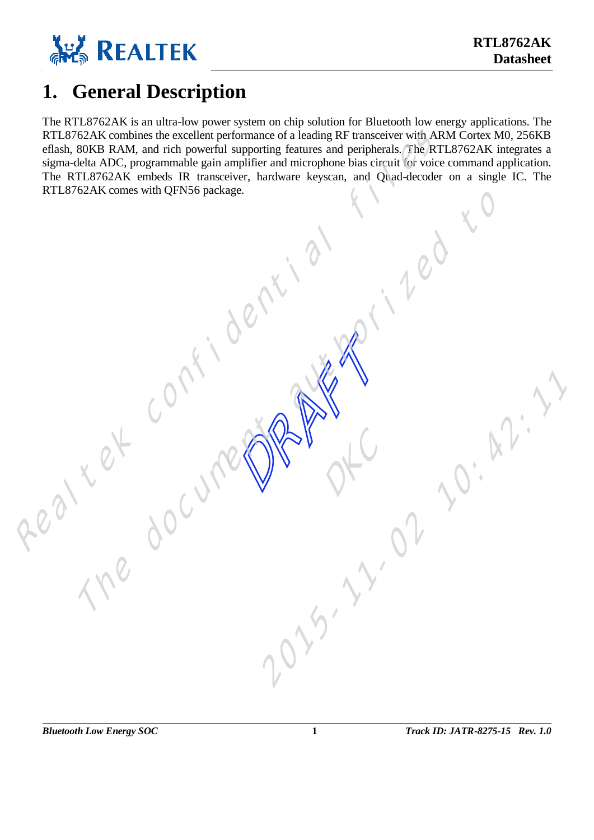

#### <span id="page-4-0"></span>**1. General Description**

The RTL8762AK is an ultra-low power system on chip solution for Bluetooth low energy applications. The RTL8762AK combines the excellent performance of a leading RF transceiver with ARM Cortex M0, 256KB eflash, 80KB RAM, and rich powerful supporting features and peripherals. The RTL8762AK integrates a sigma-delta ADC, programmable gain amplifier and microphone bias circuit for voice command application. The RTL8762AK embeds IR transceiver, hardware keyscan, and Quad-decoder on a single IC. The RTL8762AK combines the excellent performance of a leading RF transceiver with A<br>eftash, 80KB RAM, and rich powerful supporting features and periphericals. The KTL8762AK comes with QFN56 package.<br>RTL8762AK comes with QFN56 The document and the document

RAFTER COMPANY

of C

2015-11-02 10:42:11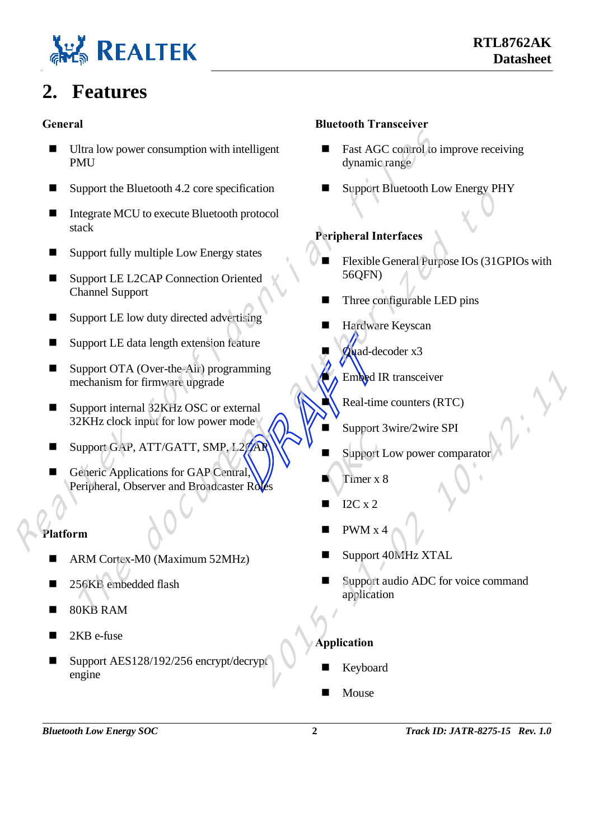

## <span id="page-5-0"></span>**2. Features**

#### **General**

- Ultra low power consumption with intelligent PMU **Example 1988**<br> **Example 1988**<br> **Example 2018**<br> **Example 2019**<br> **Example 2019**<br> **Example 2019**<br> **Example 2019**<br> **Example 2019**<br> **Example 2019**<br> **Example 2019**<br> **Example 2019**<br> **Example 2019**<br> **Example 2019**<br> **Example 2019** 
	- $\blacksquare$  Support the Bluetooth 4.2 core specification
	- Integrate MCU to execute Bluetooth protocol stack Support The document and Southern and Broadcaster Responsible DED pins<br>
	Material Interface Support LE LOCAP Connection Oriented<br>
	Support LE LOCAP Connection Oriented<br>
	Southern U.B. Channel Support<br>
	Channel Support<br>
	Channe
	- Support fully multiple Low Energy states
	- Support LE L2CAP Connection Oriented Channel Support
	- Support LE low duty directed advertising
	- Support LE data length extension feature
	- Feature<br>
	ramming<br>
	mode<br>
	March Support<br>
	Lacare Support<br>
	Lacare Support<br>
	Support<br>
	Timer x ■ Support OTA (Over-the-Air) programming mechanism for firmware upgrade
	- Support internal 32KHz OSC or external 32KHz clock input for low power mode
	- Support GAP, ATT/GATT, SMP,  $L2C$
	- Generic Applications for GAP Central Peripheral, Observer and Broadcaster Ro

#### **Platform**

- ARM Cortex-M0 (Maximum 52MHz)
- 256KB embedded flash
- 80KB RAM
- 2KB e-fuse
- Support AES128/192/256 encrypt/decrypt engine

#### **Bluetooth Transceiver**

- Fast AGC control to improve receiving dynamic range
- Support Bluetooth Low Energy PHY

#### **Peripheral Interfaces**

- Flexible General Purpose IOs (31GPIOs with 56QFN)
- Three configurable LED pins
- Hardware Keyscan
- Quad-decoder x3
	- Embed IR transceiver
	- Real-time counters (RTC)
	- Support 3wire/2wire SPI
- $\blacksquare$  Support Low power comparator
- Timer x 8  $Support S$ <br> $\blacksquare$  Support I
- I2C x 2
- PWM x 4
- Support 40MHz XTAL
- Support audio ADC for voice command application Embed IR transceiver<br>
al<br>
Real-time counters (RTC)<br>
Support 3wire/2wire SPI<br>
Support Low power comparator<br>
Timer x 8<br>
12C x 2<br>
PWM x 4<br>
Support 40MHz XTAL<br>
Support 40MHz XTAL<br>
Application<br>
Application<br>
Reyboard

#### **Application**

- Keyboard
- Mouse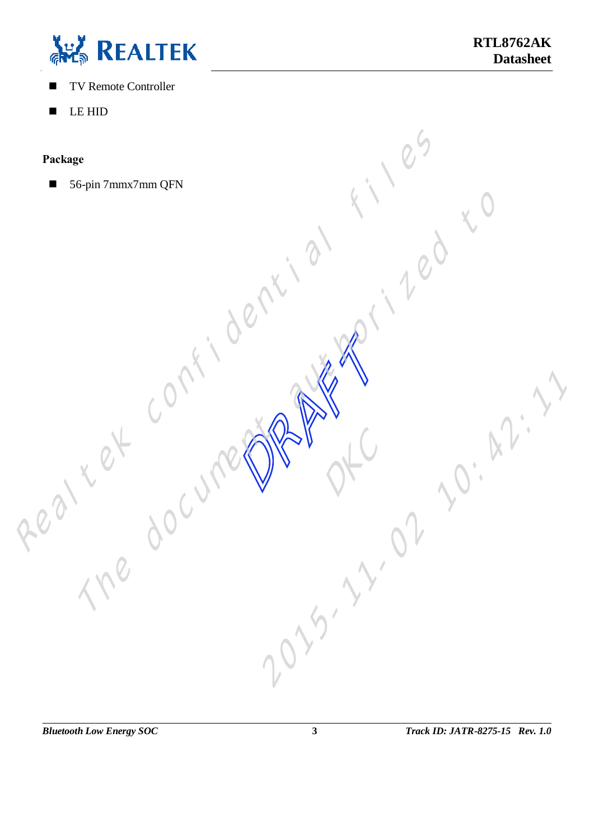

- TV Remote Controller
- **LE HID**

#### **Package**

Package So-pin 7mm QFN Realty Confidential Confidential Confidential Confidential Confidential Confidential Confidential Confidential Confidential Confidential Confidential Confidential Confidential Confidential Confidenti The document and to the documentation

RAFTER COMPANY

of C

2015-11-02 10:42:11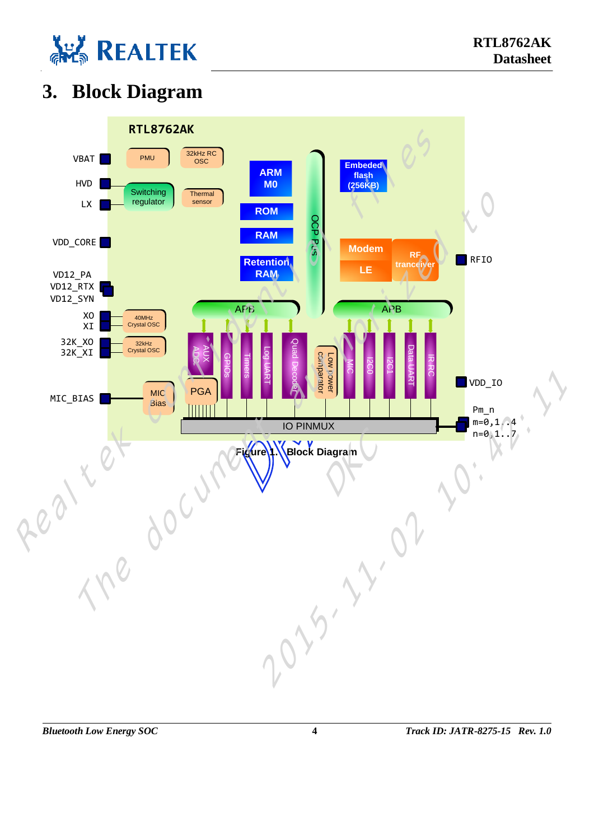

# <span id="page-7-0"></span>**3. Block Diagram**

<span id="page-7-1"></span>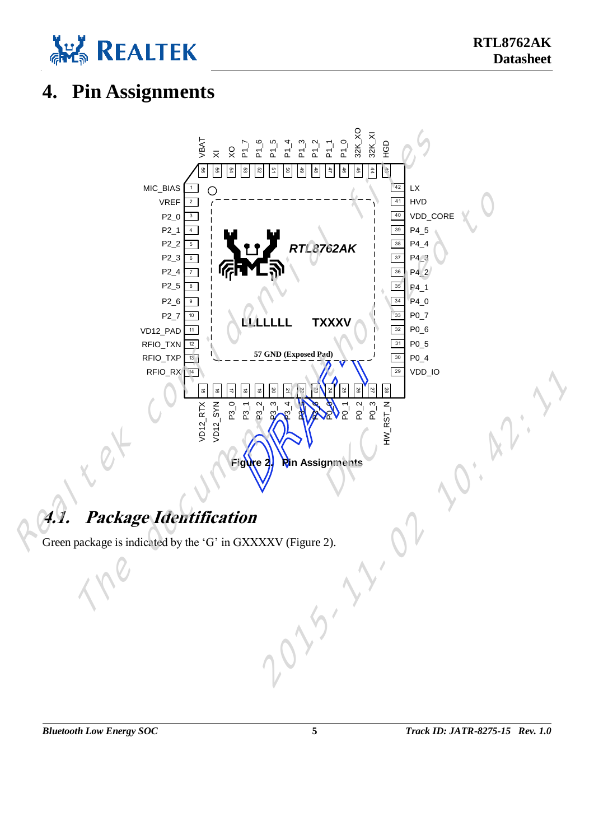

#### <span id="page-8-0"></span>**4. Pin Assignments**



# <span id="page-8-2"></span><span id="page-8-1"></span>**4.1. Package Identification**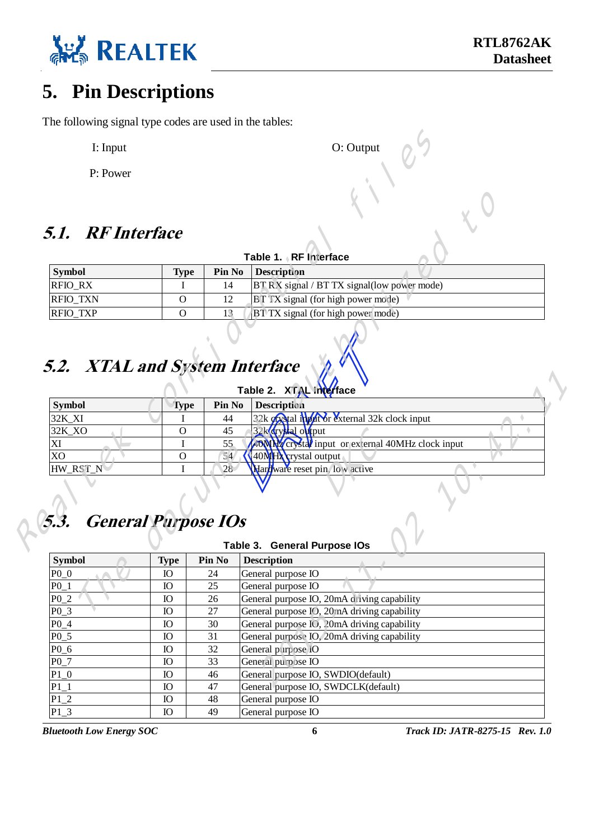

#### <span id="page-9-0"></span>**5. Pin Descriptions**

The following signal type codes are used in the tables:

- I: Input O: Output O: Output
- P: Power

#### <span id="page-9-1"></span>**5.1. RF Interface**

| Table 1. RF Interface |             |               |                                                     |  |  |  |
|-----------------------|-------------|---------------|-----------------------------------------------------|--|--|--|
| Symbol                | <b>Type</b> | <b>Pin No</b> | <i>Description</i>                                  |  |  |  |
| <b>RFIO RX</b>        |             | 14            | <b>BT RX</b> signal / BT TX signal (low power mode) |  |  |  |
| <b>RFIO TXN</b>       |             |               | <b>BT TX</b> signal (for high power mode)           |  |  |  |
| <b>RFIO TXP</b>       |             |               | <b>BT TX</b> signal (for high power mode)           |  |  |  |

# **5.2. XTAL and System Interface**

| I: Input                           |                             |              | O: Output                                                     |
|------------------------------------|-----------------------------|--------------|---------------------------------------------------------------|
| P: Power                           |                             |              |                                                               |
| <b>5.1. RF Interface</b>           |                             |              | Table 1. RF Interface                                         |
| <b>Symbol</b>                      | <b>Type</b>                 | Pin No       | Description                                                   |
| RFIO_RX                            | I                           | 14           | BT RX signal / BT TX signal(low power mode)                   |
| RFIO_TXN                           | O                           | 12           | BT TX signal (for high power mode)                            |
| RFIO_TXP                           | $\mathbf{O}$                | 13           | BT TX signal (for high power mode)                            |
| 5.2. XTAL and System Interface     |                             |              | Table 2. XTAL Taterface                                       |
| <b>Symbol</b>                      | <b>Type</b>                 | Pin No       | Description                                                   |
| 32K_XI                             | I                           | 44           | 32kerystal input or external 32k clock input<br>$\bullet$     |
| 32K_XO                             | O                           | 45           | <b><i><u>Z2</u>k</i></b> crystal output                       |
| XI                                 | I                           | 55           | 4000042 crystal input or external 40MHz clock input           |
| X <sub>O</sub><br>HW_RST_N         | $\mathbf{O}$<br>$\mathbf I$ | 56<br>28     | <b>40MNA</b> crystal output<br>Hardware reset pin, low active |
| 5.3.<br><b>General Purpose IOs</b> |                             |              |                                                               |
|                                    |                             |              | Table 3. General Purpose IOs                                  |
| <b>Symbol</b>                      | <b>Type</b>                 | Pin No<br>24 | $\bullet$<br><b>Description</b>                               |
| $P0_0$<br>$P0_1$                   | <b>IO</b><br><b>IO</b>      | 25           | General purpose IO<br>General purpose IO                      |
| $P0_2$                             | IO                          | 26           | General purpose IO, 20mA driving capability                   |

# **5.3. General Purpose IOs**

#### **Table 3. General Purpose IOs**

|                            |             |        | Table 2. XTAL haterface                                    |
|----------------------------|-------------|--------|------------------------------------------------------------|
| <b>Symbol</b>              | <b>Type</b> | Pin No | <b>Description</b>                                         |
| 32K_XI                     |             | 44     | 32k erystallingut or external 32k clock input<br>$\bullet$ |
| 32K_XO                     | $\Omega$    | 45     | <b><i><u>22 Ecrystal</u></i></b> entry<br>$\bullet$        |
| XI                         |             | 55     | 40 MHz crystal input or external 40MHz clock input         |
| X <sub>O</sub>             | $\mathbf O$ | 54     | <b>40MNA</b> crystal output                                |
| HW_RST_N                   | I           | 28     | Hardware reset pin, low active                             |
|                            |             |        |                                                            |
|                            |             |        |                                                            |
|                            |             |        |                                                            |
| <b>General Purpose IOs</b> |             |        |                                                            |
|                            |             |        |                                                            |
|                            |             |        | Table 3. General Purpose IOs                               |
| <b>Symbol</b>              | <b>Type</b> | Pin No | <b>Description</b>                                         |
| $P0_0$                     | <b>IO</b>   | 24     | General purpose IO                                         |
| $P0_1$                     | <b>IO</b>   | 25     | General purpose IO                                         |
| $P0_2$                     | IO          | 26     | General purpose IO, 20mA driving capability                |
| $P0_3$                     | <b>IO</b>   | 27     | General purpose IO, 20mA driving capability                |
| $P0_4$                     | <b>IO</b>   | 30     | General purpose IO, 20mA driving capability                |
| $P0_5$                     | <b>IO</b>   | 31     | General purpose IO, 20mA driving capability                |
| $P0_6$                     | IO          | 32     | General purpose IO                                         |
| $P0_7$                     | <b>IO</b>   | 33     | General purpose IO                                         |
| $P1_0$                     | <b>IO</b>   | 46     | General purpose IO, SWDIO(default)                         |
| $P1_1$                     | <b>IO</b>   | 47     | General purpose IO, SWDCLK(default)                        |
| $P1_2$                     | <b>IO</b>   | 48     | General purpose IO                                         |
| $P1_3$                     | <b>IO</b>   | 49     | General purpose IO                                         |

*Bluetooth Low Energy SOC* **6** *Track ID: JATR-8275-15 Rev. 1.0*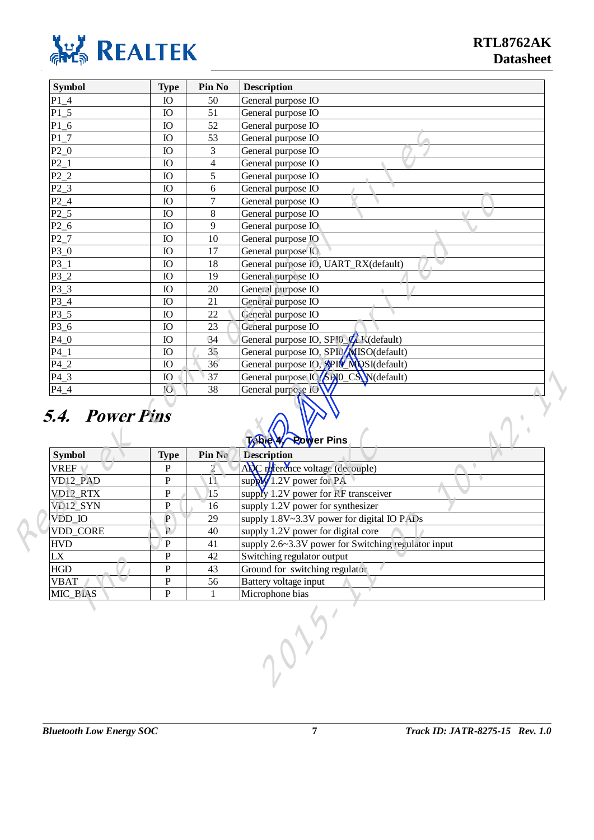<span id="page-10-0"></span>

|                        | <b>Type</b>    | Pin No                   | <b>Description</b>                                                                        |
|------------------------|----------------|--------------------------|-------------------------------------------------------------------------------------------|
| $P1_4$                 | IO             | 50                       | General purpose IO                                                                        |
| $P1_5$                 | IO             | 51                       | General purpose IO                                                                        |
| $P1_6$                 | IO             | 52                       | General purpose IO                                                                        |
| $P1_7$                 | IO             | 53                       | General purpose IO                                                                        |
| $P2_0$                 | IO             | $\overline{3}$           | General purpose IO                                                                        |
| $P2_1$                 | <b>IO</b>      | $\overline{\mathcal{L}}$ | General purpose IO                                                                        |
| $P2_2$                 | IO             | 5                        | General purpose IO                                                                        |
| $P2_3$                 | IO             | 6                        | General purpose IO                                                                        |
| P <sub>2</sub> 4       | IO             | $\boldsymbol{7}$         | General purpose IO                                                                        |
| $P2_5$                 | IO             | $8\,$                    | General purpose IO                                                                        |
| $P2_6$                 | IO             | 9                        | General purpose IO                                                                        |
| $P2_7$                 | IO             | 10                       | General purpose IO                                                                        |
| $P3_0$                 | IO             | 17                       | General purpose IO                                                                        |
| $P3_1$                 | IO             | 18                       | General purpose IO, UART_RX(default)                                                      |
| $P3_2$                 | IO             | 19                       | General purpose IO                                                                        |
| $P3_3$                 | <b>IO</b>      | 20                       | General purpose IO                                                                        |
| $P3_4$                 | <b>IO</b>      | 21                       | General purpose IO                                                                        |
| $P3_5$                 | IO             | 22                       | General purpose IO                                                                        |
| $P3_6$                 | IO             | 23                       | General purpose IO                                                                        |
| $P4_0$                 | IO             | 34                       | General purpose IO, SPIO CLK (default)                                                    |
| $P4_1$                 | IO             | 35                       | General purpose IO, SP (MISO(default)                                                     |
| P4 2                   | <b>IO</b>      | 36                       | General purpose IO <sub>2</sub> <sup>9</sup> PIO MOSI(default)                            |
| $P4_3$                 | IO             | 37                       | General purpose 16 SPIO_CS N(default)                                                     |
| $P4_4$                 | 10             | 38                       | General purpose                                                                           |
|                        |                |                          |                                                                                           |
| <b>5.4. Power Pins</b> |                |                          | Table / Power Pins                                                                        |
| <b>Symbol</b>          | <b>Type</b>    | Pin No                   | <b>Description</b>                                                                        |
| <b>VREF</b>            | ${\bf P}$      | $\overline{2}$           | $\color{red} \bigcirc$<br>ADC reference voltage (decouple)                                |
| VD <sub>12_PAD</sub>   | ${\bf P}$      | 11                       | $\color{red} \bigcirc$<br>supply $\frac{1}{2}$ .2V power for PA                           |
| VD <sub>12</sub> RTX   | ${\bf P}$      | 15                       | supply 1.2V power for RF transceiver                                                      |
| VD <sub>12_SYN</sub>   | ${\bf P}$      | 16                       | supply 1.2V power for synthesizer                                                         |
| VDD_IO                 | $\overline{P}$ | 29                       | supply 1.8V~3.3V power for digital IO PADs                                                |
| VDD_CORE               | $\mathbf P$    | 40                       |                                                                                           |
|                        | $\overline{P}$ | 41                       | supply 1.2V power for digital core<br>supply 2.6~3.3V power for Switching regulator input |
| <b>HVD</b><br>LX       | $\overline{P}$ | 42                       |                                                                                           |
|                        | P              | 43                       | Switching regulator output                                                                |
| <b>VBAT</b>            | ${\bf P}$      | 56                       | Ground for switching regulator<br>Battery voltage input                                   |
| HGD<br>MIC_BIAS        | ${\bf P}$      | 1                        | Microphone bias                                                                           |

#### **5.4. Power Pins**

| <b>Symbol</b> | <b>Type</b>    | Pin No         | <b>able 4/ Power Pins</b><br><b>Description</b>     |
|---------------|----------------|----------------|-----------------------------------------------------|
| <b>VREF</b>   | P              |                | ADC reference voltage (decouple)                    |
| VD12_PAD      | $\mathbf P$    | 11             | $\bullet$<br>supply / 2V power for PA               |
| VD12_RTX      | $\mathbf P$    | $\overline{5}$ | supply 1.2V power for RF transceiver                |
| VD12_SYN      | P              | 16             | supply 1.2V power for synthesizer                   |
| VDD_IO        | $\mathbf{P}$   | 29             | supply 1.8V~3.3V power for digital IO PADs          |
| VDD_CORE      | P              | 40             | supply 1.2V power for digital core                  |
| <b>HVD</b>    | P              | 41             | supply 2.6~3.3V power for Switching regulator input |
| LX            | P              | 42             | Switching regulator output                          |
| <b>HGD</b>    | P              | 43             | Ground for switching regulator                      |
| <b>VBAT</b>   | $\mathbf{P}$   | 56             | Battery voltage input                               |
| MIC_BIAS      | $\overline{P}$ |                | Microphone bias                                     |
|               |                |                |                                                     |

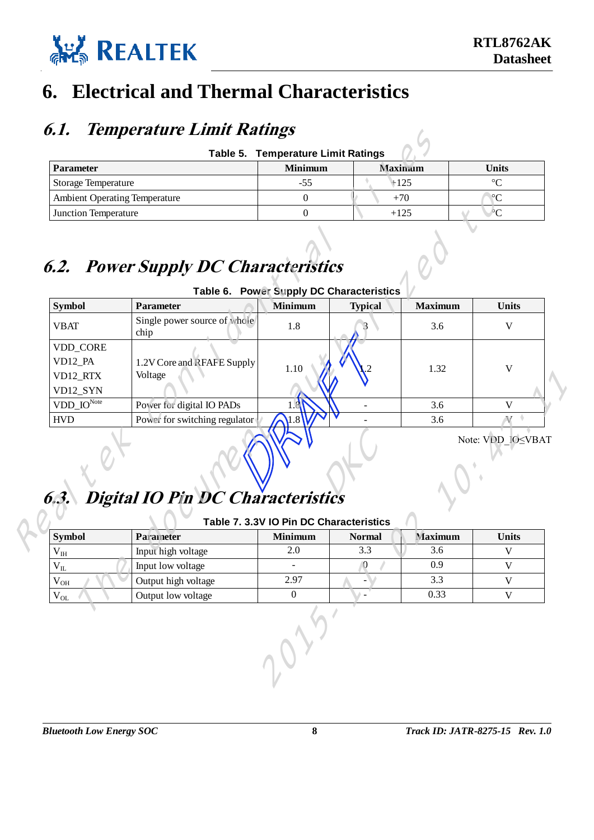

#### <span id="page-11-0"></span>**6. Electrical and Thermal Characteristics**

#### <span id="page-11-1"></span>**6.1. Temperature Limit Ratings**

<span id="page-11-3"></span>

| <b>Table 5. Temperature Limit Ratings</b> |                |                |                 |  |  |  |  |  |
|-------------------------------------------|----------------|----------------|-----------------|--|--|--|--|--|
| <b>Parameter</b>                          | <b>Minimum</b> | <b>Maximum</b> | Units           |  |  |  |  |  |
| <b>Storage Temperature</b>                | $-55$          | $+125$         | $\circ$         |  |  |  |  |  |
| <b>Ambient Operating Temperature</b>      |                | $+70$          | $\rm ^{\circ}C$ |  |  |  |  |  |
| <b>Junction Temperature</b>               |                | $+125$         | $\rm ^{\circ}C$ |  |  |  |  |  |

# <span id="page-11-4"></span><span id="page-11-2"></span>**6.2. Power Supply DC Characteristics**

| <b>Parameter</b>                            |                                             | <b>Minimum</b>                           | <b>Maximum</b> |                | <b>Units</b>       |  |
|---------------------------------------------|---------------------------------------------|------------------------------------------|----------------|----------------|--------------------|--|
| Storage Temperature                         |                                             | $-55$                                    | $+125$         |                | $\rm ^{\circ}C$    |  |
| <b>Ambient Operating Temperature</b>        |                                             | $\boldsymbol{0}$                         | $+70$          |                | $\rm ^{\circ}C$    |  |
| Junction Temperature                        |                                             | $\Omega$                                 | $+125$         |                | $\overline{C}$     |  |
|                                             | <b>6.2. Power Supply DC Characteristics</b> | Table 6. Power Supply DC Characteristics |                |                |                    |  |
| <b>Symbol</b>                               | Parameter                                   | <b>Minimum</b>                           | <b>Typical</b> | <b>Maximum</b> | <b>Units</b>       |  |
| <b>VBAT</b>                                 | Single power source of whole<br>chip        | 1.8                                      |                | 3.6            | V                  |  |
| VDD_CORE<br>VD12_PA<br>VD12_RTX<br>VD12_SYN | 1.2V Core and RFAFE Supply<br>Voltage       | 1.10                                     |                | 1.32           | $\mathbf{V}$       |  |
| $VDD$ <sub>-IO</sub> Note                   | Power for digital IO PADs                   |                                          |                | 3.6            | $\mathbf{V}$       |  |
| <b>HVD</b>                                  | Power for switching regulator               |                                          |                | 3.6            | $\rm V$ $^{\circ}$ |  |
|                                             | <b>Digital IO Pin DC Characteristics</b>    | Table 7. 3.3V IO Pin DC Characteristics  |                |                | Note: VDD IOSVBAT  |  |
|                                             | Parameter                                   | <b>Minimum</b>                           | <b>Normal</b>  | <b>Maximum</b> | <b>Units</b>       |  |
| <b>Symbol</b>                               |                                             | 2.0                                      | 3.3            | 3.6            | $\mathbf V$        |  |
| $V_{IH}$                                    | Input high voltage                          |                                          |                |                |                    |  |
| $V_{IL}$                                    | Input low voltage                           | $\mathbf{r}$                             | $\overline{0}$ | 0.9            | $\mathbf{V}$       |  |
| $V_{OH}$                                    | Output high voltage                         | 2.97                                     |                | 3.3            | $\mathbf{V}$       |  |

# **Table 6. Power Supply DC Characteristics**

# **6.3. Digital IO Pin DC Characteristics** Report Follows

| VD12_RTX                                                        | Voltage                                  |                                         |               |                |                   |  |
|-----------------------------------------------------------------|------------------------------------------|-----------------------------------------|---------------|----------------|-------------------|--|
| VD12_SYN                                                        |                                          |                                         |               |                |                   |  |
| $VDD_{{\footnotesize \perp}}\text{IO}^{\overline{\text{Note}}}$ | Power for digital IO PADs                |                                         |               | 3.6            | V                 |  |
| <b>HVD</b>                                                      | Power for switching regulator            |                                         |               | 3.6            | $V^{\circ}$       |  |
| 5.3.                                                            | <b>Digital IO Pin DC Characteristics</b> |                                         |               |                | Note: VDD_IO≤VBAT |  |
|                                                                 |                                          | Table 7. 3.3V IO Pin DC Characteristics |               |                |                   |  |
| Symbol                                                          | Parameter                                | <b>Minimum</b>                          | <b>Normal</b> | <b>Maximum</b> | <b>Units</b>      |  |
| $V_{I\!H}$                                                      | Input high voltage                       | 2.0                                     | 3.3           | 3.6            | V                 |  |
| $\rm V_{II.}$                                                   | Input low voltage                        |                                         | 0             | 0.9            | $\mathbf V$       |  |
| $\rm V_{OH}$                                                    | Output high voltage                      | 2.97                                    |               | 3.3            | $\mathbf V$       |  |
| $V_{OL}$                                                        | Output low voltage                       | $\overline{0}$                          |               | 0.33           | $\mathbf V$       |  |
|                                                                 |                                          |                                         |               |                |                   |  |

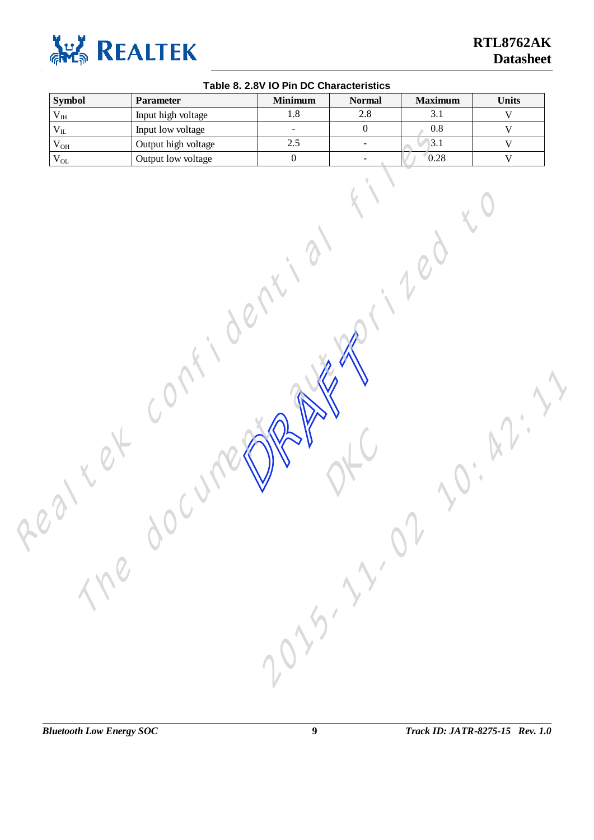<span id="page-12-0"></span>

| $1.8$<br>$\overline{3.1}$<br>2.8<br>Input high voltage<br>$\rm V_{IH}$<br>$\overline{0}$<br>0.8<br>$\rm V_{II}$<br>Input low voltage<br>$\omega$<br>2.5<br>3.1<br>Output high voltage<br>$\rm V_{OH}$<br>$\omega$<br>$\overline{0}$<br>0.28<br>Output low voltage<br>$\rm V_{OL}$<br>$\overline{\phantom{a}}$ |  | <b>Symbol</b> | Parameter | <b>Minimum</b> | <b>Normal</b> | <b>Maximum</b> | Units       |
|---------------------------------------------------------------------------------------------------------------------------------------------------------------------------------------------------------------------------------------------------------------------------------------------------------------|--|---------------|-----------|----------------|---------------|----------------|-------------|
|                                                                                                                                                                                                                                                                                                               |  |               |           |                |               |                | $\mathbf V$ |
|                                                                                                                                                                                                                                                                                                               |  |               |           |                |               |                | $\mathbf V$ |
|                                                                                                                                                                                                                                                                                                               |  |               |           |                |               |                | $\mathbf V$ |
|                                                                                                                                                                                                                                                                                                               |  |               |           |                |               |                | $\mathbf V$ |
|                                                                                                                                                                                                                                                                                                               |  |               |           |                |               |                |             |

2015-11-02 10:42:11

The document and to the

#### **Table 8. 2.8V IO Pin DC Characteristics**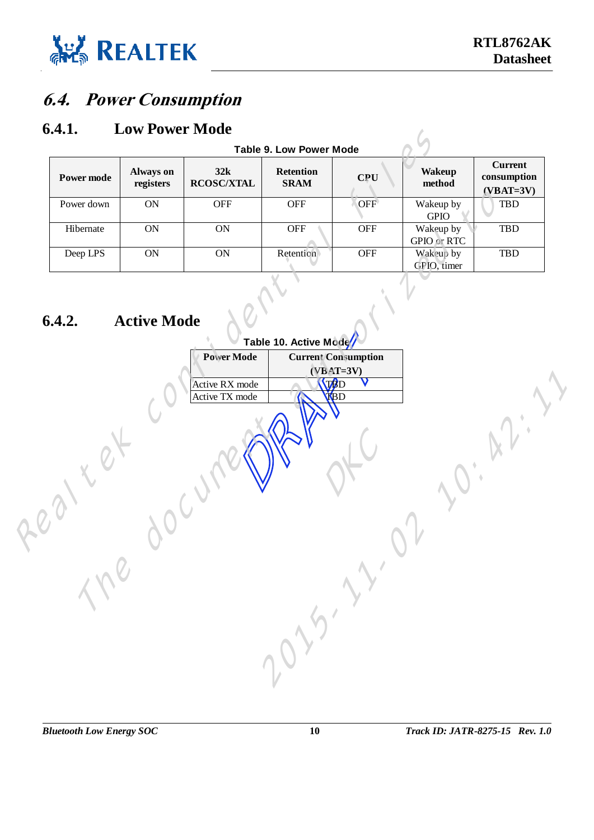<span id="page-13-1"></span>

#### <span id="page-13-0"></span>**6.4. Power Consumption**

#### **6.4.1. Low Power Mode**

<span id="page-13-2"></span>

|                   |                               |                          | <b>Table 9. Low Power Mode</b>  |            |                                 |                                              |
|-------------------|-------------------------------|--------------------------|---------------------------------|------------|---------------------------------|----------------------------------------------|
| <b>Power mode</b> | <b>Always on</b><br>registers | 32k<br><b>RCOSC/XTAL</b> | <b>Retention</b><br><b>SRAM</b> | CPU        | <b>Wakeup</b><br>method         | <b>Current</b><br>consumption<br>$(VBAT=3V)$ |
| Power down        | ON                            | <b>OFF</b>               | <b>OFF</b>                      | <b>OFF</b> | Wakeup by<br><b>GPIO</b>        | <b>TBD</b>                                   |
| Hibernate         | <b>ON</b>                     | <b>ON</b>                | <b>OFF</b>                      | <b>OFF</b> | Wakeup by<br><b>GPIO</b> or RTC | <b>TBD</b>                                   |
| Deep LPS          | <b>ON</b>                     | <b>ON</b>                | Retention                       | <b>OFF</b> | Wakeup by<br>GPIO, timer        | <b>TBD</b>                                   |

# <span id="page-13-3"></span>**6.4.2. Active Mode**

|                             |                        |                          | <b>Table 9. Low Power Mode</b> |                            |                          |                                              |
|-----------------------------|------------------------|--------------------------|--------------------------------|----------------------------|--------------------------|----------------------------------------------|
| <b>Power mode</b>           | Always on<br>registers | 32k<br><b>RCOSC/XTAL</b> | Retention<br><b>SRAM</b>       | <b>CPU</b>                 | <b>Wakeup</b><br>method  | <b>Current</b><br>consumption<br>$(VBAT=3V)$ |
| Power down                  | ON                     | <b>OFF</b>               | <b>OFF</b>                     | OFF                        | Wakeup by<br>$\rm GPIO$  | TBD                                          |
| Hibernate                   | ON                     | <b>ON</b>                | OFF                            | <b>OFF</b>                 | Wakeup by<br>GPIO or RTC | TBD                                          |
| Deep LPS                    | ON                     | ON                       | Retention                      | <b>OFF</b>                 | Wakeup by<br>GPIO, timer | TBD                                          |
| 6.4.2.                      | <b>Active Mode</b>     |                          | Table 10. Active Moge          |                            |                          |                                              |
|                             |                        | <b>Power Mode</b>        |                                | <b>Current Consumption</b> |                          |                                              |
|                             |                        |                          |                                | $(VBAT=3V)$                |                          |                                              |
|                             |                        | Active RX mode           |                                | <b>TRD</b>                 |                          |                                              |
|                             |                        | Active TX mode           |                                | TBD                        |                          |                                              |
|                             |                        |                          |                                |                            |                          |                                              |
|                             |                        |                          |                                |                            |                          |                                              |
|                             |                        |                          |                                |                            |                          |                                              |
|                             |                        |                          |                                |                            |                          |                                              |
|                             |                        |                          |                                |                            |                          |                                              |
|                             |                        |                          |                                |                            |                          |                                              |
|                             |                        |                          |                                |                            |                          |                                              |
|                             |                        |                          |                                |                            |                          |                                              |
|                             |                        |                          |                                |                            |                          |                                              |
|                             |                        |                          |                                |                            |                          |                                              |
|                             |                        |                          |                                |                            |                          |                                              |
| $\mathcal{L}_{\mathcal{C}}$ |                        |                          |                                |                            |                          |                                              |
|                             |                        |                          |                                |                            |                          |                                              |
|                             |                        |                          |                                |                            |                          |                                              |
|                             |                        |                          | 2010-11                        |                            |                          |                                              |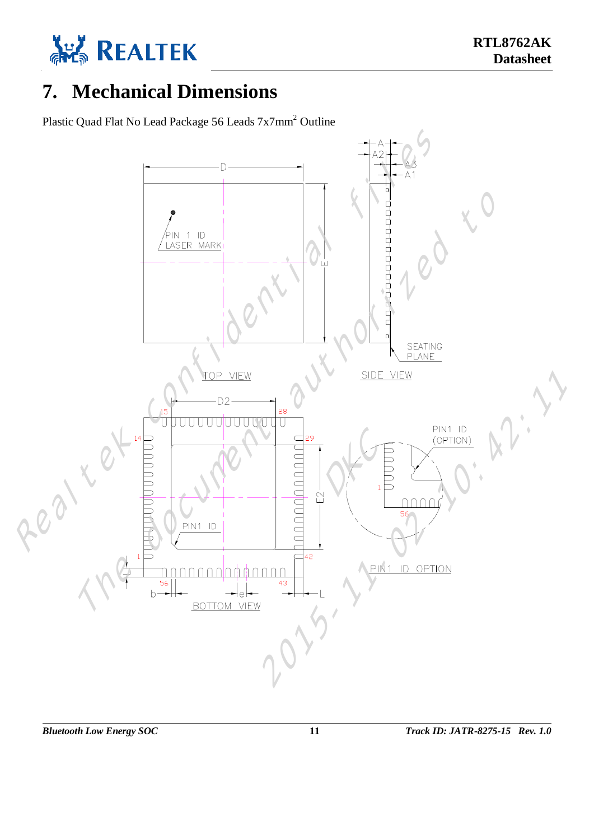

# <span id="page-14-0"></span>**7. Mechanical Dimensions**